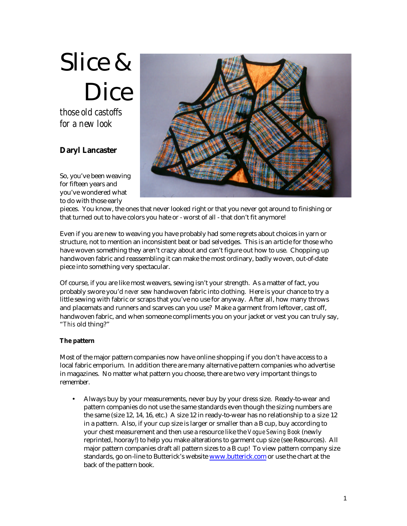# Slice & Dice

*those old castoffs for a new look*

# **Daryl Lancaster**

So, you've been weaving for fifteen years and you've wondered what to do with those early



pieces. You know, the ones that never looked right or that you never got around to finishing or that turned out to have colors you hate or - worst of all - that don't fit anymore!

Even if you are new to weaving you have probably had some regrets about choices in yarn or structure, not to mention an inconsistent beat or bad selvedges. This is an article for those who have woven something they aren't crazy about and can't figure out how to use. Chopping up handwoven fabric and reassembling it can make the most ordinary, badly woven, out-of-date piece into something very spectacular.

Of course, if you are like most weavers, sewing isn't your strength. As a matter of fact, you probably swore you'd *never* sew handwoven fabric into clothing. Here is your chance to try a little sewing with fabric or scraps that you've no use for anyway. After all, how many throws and placemats and runners and scarves can you use? Make a garment from leftover, cast off, handwoven fabric, and when someone compliments you on your jacket or vest you can truly say, "*This* old thing?"

## **The pattern**

Most of the major pattern companies now have online shopping if you don't have access to a local fabric emporium. In addition there are many alternative pattern companies who advertise in magazines. No matter what pattern you choose, there are two very important things to remember.

• Always buy by your measurements, never buy by your dress size. Ready-to-wear and pattern companies do not use the same standards even though the sizing numbers are the same (size 12, 14, 16, etc.) A size 12 in ready-to-wear has no relationship to a size 12 in a pattern. Also, if your cup size is larger or smaller than a B cup, buy according to your chest measurement and then use a resource like the *Vogue Sewing Book* (newly reprinted, hooray!) to help you make alterations to garment cup size (see Resources). All major pattern companies draft all pattern sizes to a B cup! To view pattern company size standards, go on-line to Butterick's website www.butterick.com or use the chart at the back of the pattern book.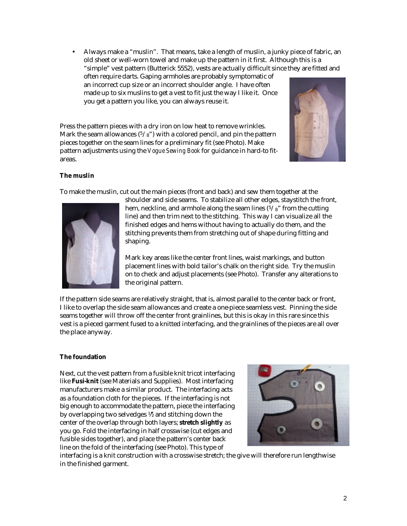• Always make a "muslin". That means, take a length of muslin, a junky piece of fabric, an old sheet or well-worn towel and make up the pattern in it first. Although this is a "simple" vest pattern (Butterick 5552), vests are actually difficult since they are fitted and often require darts. Gaping armholes are probably symptomatic of

an incorrect cup size or an incorrect shoulder angle. I have often made up to six muslins to get a vest to fit just the way I like it. Once you get a pattern you like, you can always reuse it.

Press the pattern pieces with a dry iron on low heat to remove wrinkles. Mark the seam allowances  $(5/8)$  with a colored pencil, and pin the pattern pieces together on the seam lines for a preliminary fit (see Photo). Make pattern adjustments using the *Vogue Sewing Book* for guidance in hard-to fitareas.



## **The muslin**

To make the muslin, cut out the main pieces (front and back) and sew them together at the



shoulder and side seams. To stabilize all other edges, staystitch the front, hem, neckline, and armhole along the seam lines  $(5/\gamma)^2$  from the cutting line) and then trim next to the stitching. This way I can visualize all the finished edges and hems without having to actually do them, and the stitching prevents them from stretching out of shape during fitting and shaping.

Mark key areas like the center front lines, waist markings, and button placement lines with bold tailor's chalk on the right side. Try the muslin on to check and adjust placements (see Photo). Transfer any alterations to the original pattern.

If the pattern side seams are relatively straight, that is, almost parallel to the center back or front, I like to overlap the side seam allowances and create a one-piece seamless vest. Pinning the side seams together will throw off the center front grainlines, but this is okay in this rare since this vest is a pieced garment fused to a knitted interfacing, and the grainlines of the pieces are all over the place anyway.

## **The foundation**

Next, cut the vest pattern from a fusible knit tricot interfacing like **Fusi-knit** (see Materials and Supplies). Most interfacing manufacturers make a similar product. The interfacing acts as a foundation cloth for the pieces. If the interfacing is not big enough to accommodate the pattern, piece the interfacing by overlapping two selvedges ½" and stitching down the center of the overlap through both layers; **stretch slightly** as you go. Fold the interfacing in half crosswise (cut edges and fusible sides together), and place the pattern's center back line on the fold of the interfacing (see Photo). This type of



interfacing is a knit construction with a crosswise stretch; the give will therefore run lengthwise in the finished garment.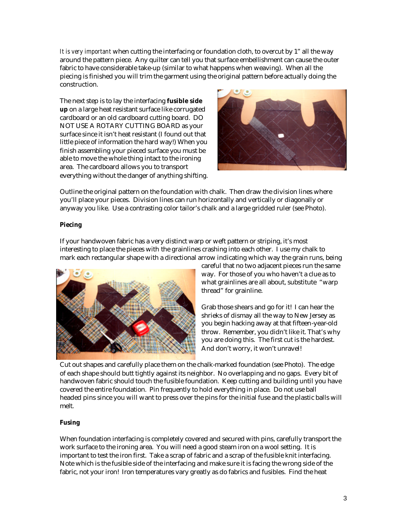*It is very important* when cutting the interfacing or foundation cloth, to overcut by 1" all the way around the pattern piece. Any quilter can tell you that surface embellishment can cause the outer fabric to have considerable take-up (similar to what happens when weaving). When all the piecing is finished you will trim the garment using the original pattern before actually doing the construction.

The next step is to lay the interfacing **fusible side up** on a large heat resistant surface like corrugated cardboard or an old cardboard cutting board. DO NOT USE A ROTARY CUTTING BOARD as your surface since it isn't heat resistant (I found out that little piece of information the hard way!) When you finish assembling your pieced surface you must be able to move the whole thing intact to the ironing area. The cardboard allows you to transport everything without the danger of anything shifting.



Outline the original pattern on the foundation with chalk. Then draw the division lines where you'll place your pieces. Division lines can run horizontally and vertically or diagonally or anyway you like. Use a contrasting color tailor's chalk and a large gridded ruler (see Photo).

# **Piecing**

If your handwoven fabric has a very distinct warp or weft pattern or striping, it's most interesting to place the pieces with the grainlines crashing into each other. I use my chalk to mark each rectangular shape with a directional arrow indicating which way the grain runs, being



careful that no two adjacent pieces run the same way. For those of you who haven't a clue as to what grainlines are all about, substitute "warp thread" for grainline.

Grab those shears and go for it! I can hear the shrieks of dismay all the way to New Jersey as you begin hacking away at that fifteen-year-old throw. Remember, you didn't like it. That's why you are doing this. The first cut is the hardest. And don't worry, it won't unravel!

Cut out shapes and carefully place them on the chalk-marked foundation (see Photo). The edge of each shape should butt tightly against its neighbor. No overlapping and no gaps. Every bit of handwoven fabric should touch the fusible foundation. Keep cutting and building until you have covered the entire foundation. Pin frequently to hold everything in place. Do not use ball headed pins since you will want to press over the pins for the initial fuse and the plastic balls will melt.

## **Fusing**

When foundation interfacing is completely covered and secured with pins, carefully transport the work surface to the ironing area. You will need a good steam iron on a wool setting. It is important to test the iron first. Take a scrap of fabric and a scrap of the fusible knit interfacing. Note which is the fusible side of the interfacing and make sure it is facing the wrong side of the fabric, not your iron! Iron temperatures vary greatly as do fabrics and fusibles. Find the heat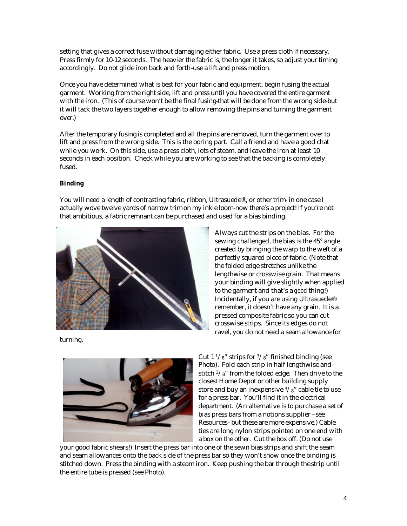setting that gives a correct fuse without damaging either fabric. Use a press cloth if necessary. Press firmly for 10-12 seconds. The heavier the fabric is, the longer it takes, so adjust your timing accordingly. Do not glide iron back and forth-use a lift and press motion.

Once you have determined what is best for your fabric and equipment, begin fusing the actual garment. Working from the right side, lift and press until you have covered the entire garment with the iron. (This of course won't be the final fusing-that will be done from the wrong side-but it will tack the two layers together enough to allow removing the pins and turning the garment over.)

After the temporary fusing is completed and all the pins are removed, turn the garment over to lift and press from the wrong side. This is the boring part. Call a friend and have a good chat while you work. On this side, use a press cloth, lots of steam, and leave the iron at least 10 seconds in each position. Check while you are working to see that the backing is completely fused.

#### **Binding**

You will need a length of contrasting fabric, ribbon, Ultrasuede®, or other trim- in one case I actually wove twelve yards of narrow trim on my inkle loom-now there's a project! If you're not that ambitious, a fabric remnant can be purchased and used for a bias binding.



turning.

Always cut the strips on the bias. For the sewing challenged, the bias is the 45° angle created by bringing the warp to the weft of a perfectly squared piece of fabric. (Note that the folded edge stretches unlike the lengthwise or crosswise grain. That means your binding will give slightly when applied to the garment-and that's a *good* thing!) Incidentally, if you are using Ultrasuede® remember, it doesn't have any grain. It is a pressed composite fabric so you can cut crosswise strips. Since its edges do not ravel, you do not need a seam allowance for



Cut  $1\frac{1}{8}$ " strips for  $\frac{3}{8}$ " finished binding (see Photo). Fold each strip in half lengthwise and stitch  $3/\frac{8}{8}$ " from the folded edge. Then drive to the closest Home Depot or other building supply store and buy an inexpensive  $3/8$ " cable tie to use for a press bar. You'll find it in the electrical department. (An alternative is to purchase a set of bias press bars from a notions supplier –see Resources- but these are more expensive.) Cable ties are long nylon strips pointed on one end with a box on the other. Cut the box off. (Do not use

your good fabric shears!) Insert the press bar into one of the sewn bias strips and shift the seam and seam allowances onto the back side of the press bar so they won't show once the binding is stitched down. Press the binding with a steam iron. Keep pushing the bar through the strip until the entire tube is pressed (see Photo).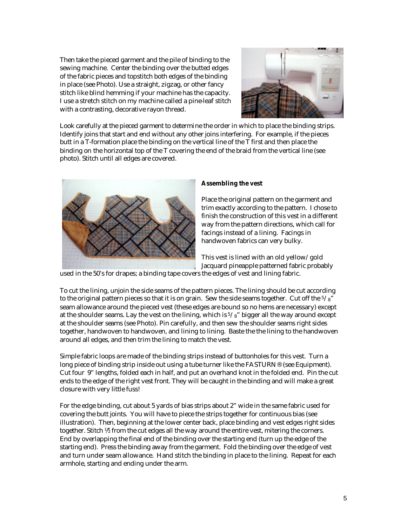Then take the pieced garment and the pile of binding to the sewing machine. Center the binding over the butted edges of the fabric pieces and topstitch both edges of the binding in place (see Photo). Use a straight, zigzag, or other fancy stitch like blind hemming if your machine has the capacity. I use a stretch stitch on my machine called a pine-leaf stitch with a contrasting, decorative rayon thread.



Look carefully at the pieced garment to determine the order in which to place the binding strips. Identify joins that start and end without any other joins interfering. For example, if the pieces butt in a T-formation place the binding on the vertical line of the T first and then place the binding on the horizontal top of the T covering the end of the braid from the vertical line (see photo). Stitch until all edges are covered.



#### **Assembling the vest**

Place the original pattern on the garment and trim exactly according to the pattern. I chose to finish the construction of this vest in a different way from the pattern directions, which call for facings instead of a lining. Facings in handwoven fabrics can very bulky.

This vest is lined with an old yellow/gold Jacquard pineapple patterned fabric probably

used in the 50's for drapes; a binding tape covers the edges of vest and lining fabric.

To cut the lining, unjoin the side seams of the pattern pieces. The lining should be cut according to the original pattern pieces so that it is on grain. Sew the side seams together. Cut off the  $5/\frac{8}{3}$ " seam allowance around the pieced vest (these edges are bound so no hems are necessary) except at the shoulder seams. Lay the vest on the lining, which is  $5\frac{s}{8}$ " bigger all the way around except at the shoulder seams (see Photo). Pin carefully, and then sew the shoulder seams right sides together, handwoven to handwoven, and lining to lining. Baste the the lining to the handwoven around all edges, and then trim the lining to match the vest.

Simple fabric loops are made of the binding strips instead of buttonholes for this vest. Turn a long piece of binding strip inside out using a tube turner like the FASTURN® (see Equipment). Cut four 9" lengths, folded each in half, and put an overhand knot in the folded end. Pin the cut ends to the edge of the right vest front. They will be caught in the binding and will make a great closure with very little fuss!

For the edge binding, cut about 5 yards of bias strips about 2" wide in the same fabric used for covering the butt joints. You will have to piece the strips together for continuous bias (see illustration). Then, beginning at the lower center back, place binding and vest edges right sides together. Stitch  $\frac{1}{2}$  from the cut edges all the way around the entire vest, mitering the corners. End by overlapping the final end of the binding over the starting end (turn up the edge of the starting end). Press the binding away from the garment. Fold the binding over the edge of vest and turn under seam allowance. Hand stitch the binding in place to the lining. Repeat for each armhole, starting and ending under the arm.